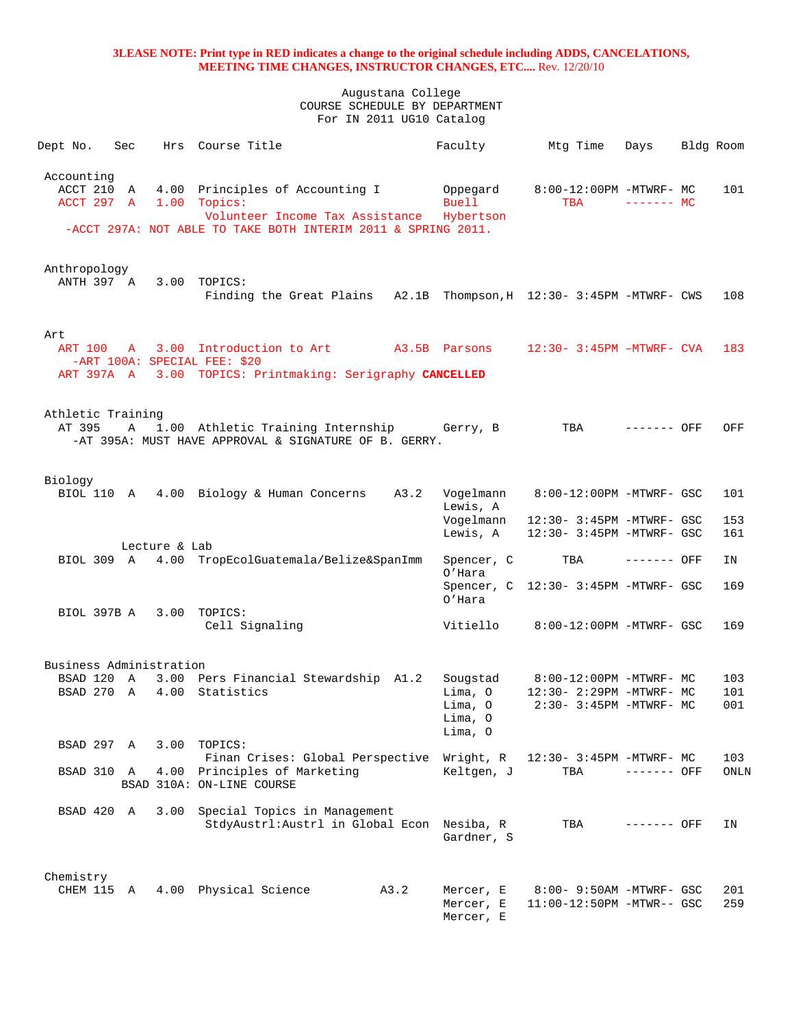| Dept No.                               | Sec          |               | Hrs Course Title                                                                                                                                    |      | Faculty                                  | Mtg Time                                               | Days        | Bldg Room  |
|----------------------------------------|--------------|---------------|-----------------------------------------------------------------------------------------------------------------------------------------------------|------|------------------------------------------|--------------------------------------------------------|-------------|------------|
| Accounting<br>ACCT 210 A<br>ACCT 297 A |              |               | 4.00 Principles of Accounting I<br>1.00 Topics:<br>Volunteer Income Tax Assistance<br>-ACCT 297A: NOT ABLE TO TAKE BOTH INTERIM 2011 & SPRING 2011. |      | Oppegard<br>Buell<br>Hybertson           | 8:00-12:00PM -MTWRF- MC<br><b>TBA</b>                  | $------$ MC | 101        |
|                                        |              |               |                                                                                                                                                     |      |                                          |                                                        |             |            |
| Anthropology<br>ANTH 397 A             |              | 3.00          | TOPICS:<br>Finding the Great Plains A2.1B Thompson, H 12:30- 3:45PM -MTWRF- CWS                                                                     |      |                                          |                                                        |             | 108        |
| Art                                    |              |               |                                                                                                                                                     |      |                                          |                                                        |             |            |
| ART 100                                |              |               | A 3.00 Introduction to Art<br>-ART 100A: SPECIAL FEE: \$20                                                                                          |      | A3.5B Parsons                            | 12:30- 3:45PM -MTWRF- CVA                              |             | 183        |
|                                        |              |               | ART 397A A 3.00 TOPICS: Printmaking: Serigraphy CANCELLED                                                                                           |      |                                          |                                                        |             |            |
|                                        |              |               |                                                                                                                                                     |      |                                          |                                                        |             |            |
| Athletic Training<br>AT 395            | Α            |               | 1.00 Athletic Training Internship Gerry, B<br>-AT 395A: MUST HAVE APPROVAL & SIGNATURE OF B. GERRY.                                                 |      |                                          | TBA                                                    | ------- OFF | OFF        |
| Biology                                |              |               |                                                                                                                                                     |      |                                          |                                                        |             |            |
|                                        |              |               | BIOL 110 A 4.00 Biology & Human Concerns A3.2                                                                                                       |      | Vogelmann<br>Lewis, A                    | 8:00-12:00PM -MTWRF- GSC                               |             | 101        |
|                                        |              |               |                                                                                                                                                     |      | Vogelmann<br>Lewis, A                    | 12:30- 3:45PM -MTWRF- GSC<br>12:30- 3:45PM -MTWRF- GSC |             | 153<br>161 |
|                                        |              | Lecture & Lab |                                                                                                                                                     |      |                                          |                                                        |             |            |
|                                        |              |               | BIOL 309 A 4.00 TropEcolGuatemala/Belize&SpanImm                                                                                                    |      | Spencer, C<br>O'Hara                     | TBA                                                    | ------- OFF | ΙN         |
|                                        |              |               |                                                                                                                                                     |      | O'Hara                                   | Spencer, C 12:30- 3:45PM -MTWRF- GSC                   |             | 169        |
| BIOL 397B A 3.00                       |              |               | TOPICS:<br>Cell Signaling                                                                                                                           |      | Vitiello                                 | 8:00-12:00PM -MTWRF- GSC                               |             | 169        |
| Business Administration                |              |               |                                                                                                                                                     |      |                                          |                                                        |             |            |
| BSAD 120                               | $\mathbf{A}$ |               | 3.00 Pers Financial Stewardship A1.2                                                                                                                |      |                                          | Sougstad 8:00-12:00PM -MTWRF- MC                       |             | 103        |
| BSAD 270                               | <b>A</b>     |               | 4.00 Statistics                                                                                                                                     |      | Lima, O<br>Lima, O<br>Lima, O<br>Lima, O | 12:30- 2:29PM -MTWRF- MC<br>2:30- 3:45PM -MTWRF- MC    |             | 101<br>001 |
| BSAD 297 A                             |              | 3.00          | TOPICS:<br>Finan Crises: Global Perspective Wright, R                                                                                               |      |                                          | 12:30- 3:45PM -MTWRF- MC                               |             | 103        |
| BSAD 310 A                             |              |               | 4.00 Principles of Marketing<br>BSAD 310A: ON-LINE COURSE                                                                                           |      | Keltgen, J                               | TBA                                                    | ------- OFF | ONLN       |
| BSAD 420 A                             |              | 3.00          | Special Topics in Management<br>StdyAustrl: Austrl in Global Econ                                                                                   |      | Nesiba, R<br>Gardner, S                  | TBA                                                    | ------- OFF | ΙN         |
| Chemistry<br>CHEM 115 A                |              |               | 4.00 Physical Science                                                                                                                               | A3.2 | Mercer, E<br>Mercer, E<br>Mercer, E      | 8:00- 9:50AM -MTWRF- GSC<br>11:00-12:50PM -MTWR-- GSC  |             | 201<br>259 |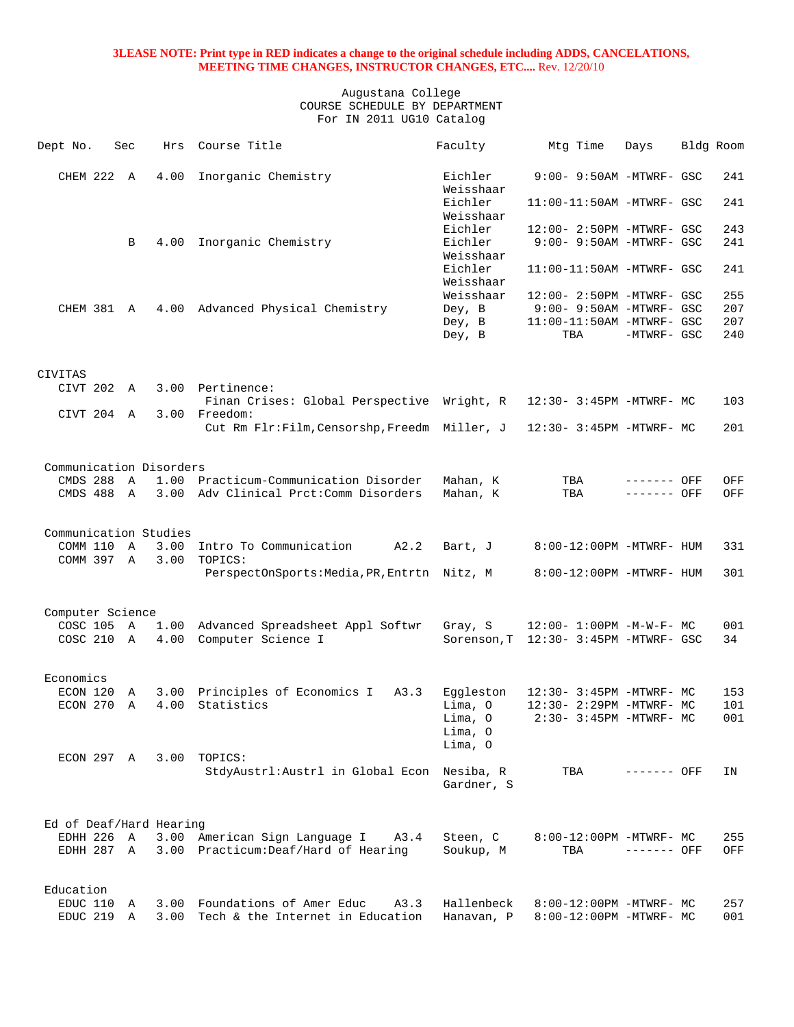| Dept No.                | Sec            | Hrs  | Course Title                                           | Faculty              | Mtg Time                              | Days        | Bldg Room |     |
|-------------------------|----------------|------|--------------------------------------------------------|----------------------|---------------------------------------|-------------|-----------|-----|
| CHEM 222 A              |                | 4.00 | Inorganic Chemistry                                    | Eichler<br>Weisshaar | 9:00- 9:50AM -MTWRF- GSC              |             |           | 241 |
|                         |                |      |                                                        | Eichler              | 11:00-11:50AM -MTWRF- GSC             |             |           | 241 |
|                         |                |      |                                                        | Weisshaar<br>Eichler | 12:00- 2:50PM -MTWRF- GSC             |             |           | 243 |
|                         | B              | 4.00 | Inorganic Chemistry                                    | Eichler              | 9:00- 9:50AM -MTWRF- GSC              |             |           | 241 |
|                         |                |      |                                                        | Weisshaar            |                                       |             |           |     |
|                         |                |      |                                                        | Eichler              | $11:00-11:50AM$ -MTWRF- GSC           |             |           | 241 |
|                         |                |      |                                                        | Weisshaar            |                                       |             |           |     |
|                         |                |      |                                                        | Weisshaar            | 12:00- 2:50PM -MTWRF- GSC             |             |           | 255 |
| CHEM 381 A              |                |      | 4.00 Advanced Physical Chemistry                       | Dey, B               | 9:00- 9:50AM -MTWRF- GSC              |             |           | 207 |
|                         |                |      |                                                        | Dey, B               | 11:00-11:50AM -MTWRF- GSC             |             |           | 207 |
|                         |                |      |                                                        | Dey, B               | TBA                                   | -MTWRF- GSC |           | 240 |
| <b>CIVITAS</b>          |                |      |                                                        |                      |                                       |             |           |     |
| CIVT 202 A              |                |      | 3.00 Pertinence:                                       |                      |                                       |             |           |     |
|                         |                |      | Finan Crises: Global Perspective Wright, R             |                      | 12:30- 3:45PM -MTWRF- MC              |             |           | 103 |
| CIVT 204 A              |                |      | 3.00 Freedom:                                          |                      |                                       |             |           |     |
|                         |                |      | Cut Rm Flr:Film, Censorshp, Freedm Miller, J           |                      | 12:30- 3:45PM -MTWRF- MC              |             |           | 201 |
|                         |                |      |                                                        |                      |                                       |             |           |     |
| Communication Disorders |                |      |                                                        |                      |                                       |             |           |     |
| CMDS 288 A              |                |      | 1.00 Practicum-Communication Disorder                  | Mahan, K             | TBA                                   | ------- OFF |           | OFF |
| CMDS 488 A              |                |      | 3.00 Adv Clinical Prct: Comm Disorders                 | Mahan, K             | TBA                                   | ------- OFF |           | OFF |
|                         |                |      |                                                        |                      |                                       |             |           |     |
|                         |                |      |                                                        |                      |                                       |             |           |     |
| Communication Studies   |                |      |                                                        |                      |                                       |             |           |     |
| COMM 110 A              |                | 3.00 | Intro To Communication<br>A2.2                         | Bart, J              | 8:00-12:00PM -MTWRF- HUM              |             |           | 331 |
| COMM 397 A              |                | 3.00 | TOPICS:<br>PerspectOnSports: Media, PR, Entrtn Nitz, M |                      | 8:00-12:00PM -MTWRF- HUM              |             |           | 301 |
|                         |                |      |                                                        |                      |                                       |             |           |     |
|                         |                |      |                                                        |                      |                                       |             |           |     |
| Computer Science        |                |      |                                                        |                      |                                       |             |           |     |
| COSC 105                | $\overline{A}$ |      | 1.00 Advanced Spreadsheet Appl Softwr                  | Gray, S              | $12:00 - 1:00PM - M - W - F - MC$     |             |           | 001 |
| COSC 210 A              |                |      | 4.00 Computer Science I                                |                      | Sorenson, T 12:30- 3:45PM -MTWRF- GSC |             |           | 34  |
|                         |                |      |                                                        |                      |                                       |             |           |     |
| Economics               |                |      |                                                        |                      |                                       |             |           |     |
| ECON 120                | Α              |      | 3.00 Principles of Economics I<br>A3.3                 | Eqqleston            | $12:30-3:45PM -MTWRF-MC$              |             |           | 153 |
| ECON 270                | $\overline{A}$ | 4.00 | Statistics                                             | Lima, O              | 12:30- 2:29PM -MTWRF- MC              |             |           | 101 |
|                         |                |      |                                                        | Lima, O              | 2:30- 3:45PM -MTWRF- MC               |             |           | 001 |
|                         |                |      |                                                        | Lima, O              |                                       |             |           |     |
|                         |                |      |                                                        | Lima, O              |                                       |             |           |     |
| ECON 297 A              |                |      | 3.00 TOPICS:                                           |                      |                                       |             |           |     |
|                         |                |      | StdyAustrl: Austrl in Global Econ Nesiba, R            |                      | TBA                                   | ------- OFF |           | ΙN  |
|                         |                |      |                                                        | Gardner, S           |                                       |             |           |     |
|                         |                |      |                                                        |                      |                                       |             |           |     |
| Ed of Deaf/Hard Hearing |                |      |                                                        |                      |                                       |             |           |     |
| EDHH 226 A              |                |      | 3.00 American Sign Language I<br>A3.4                  | Steen, C             | 8:00-12:00PM -MTWRF- MC               |             |           | 255 |
| EDHH 287 A              |                |      | 3.00 Practicum: Deaf/Hard of Hearing                   | Soukup, M            | TBA                                   | ------- OFF |           | OFF |
|                         |                |      |                                                        |                      |                                       |             |           |     |
|                         |                |      |                                                        |                      |                                       |             |           |     |
| Education<br>EDUC 110   | A              |      | 3.00 Foundations of Amer Educ<br>A3.3                  | Hallenbeck           | 8:00-12:00PM -MTWRF- MC               |             |           | 257 |
| EDUC 219 A              |                |      | 3.00 Tech & the Internet in Education                  | Hanavan, P           | 8:00-12:00PM -MTWRF- MC               |             |           | 001 |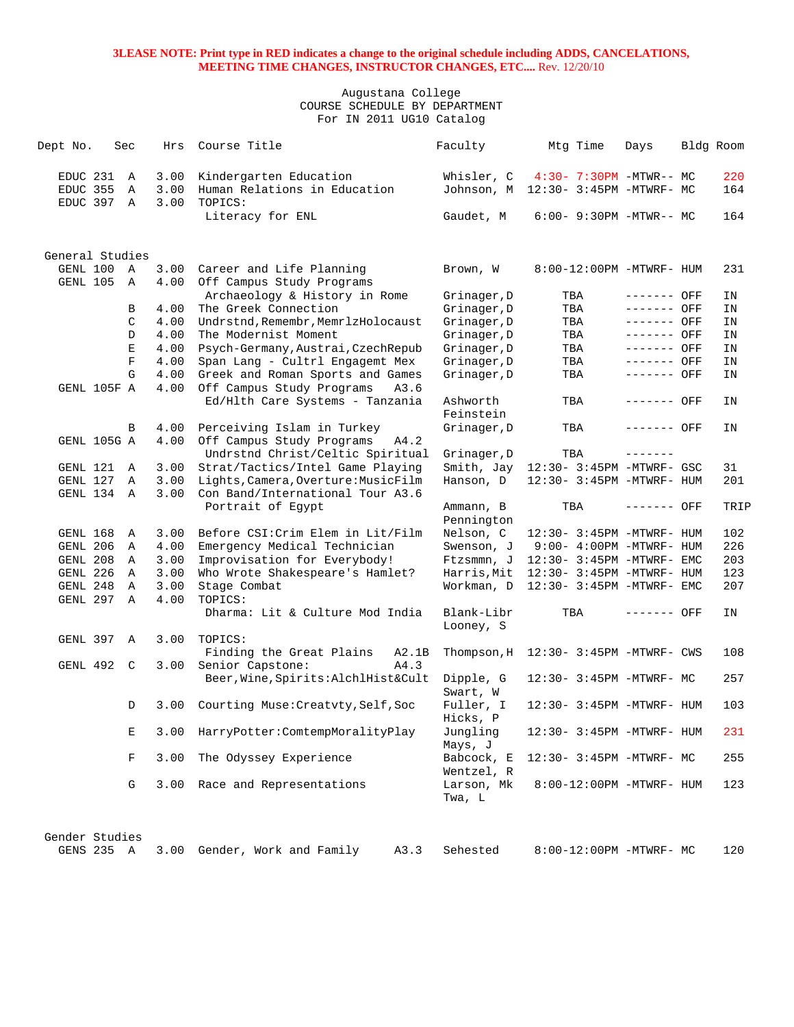| Dept No. |                 | Sec          | Hrs  | Course Title                                                    | Faculty                    | Mtg Time                              | Days         | Bldg Room |
|----------|-----------------|--------------|------|-----------------------------------------------------------------|----------------------------|---------------------------------------|--------------|-----------|
|          | EDUC 231        | Α            | 3.00 | Kindergarten Education                                          | Whisler, C                 | 4:30- 7:30PM -MTWR-- MC               |              | 220       |
|          | EDUC 355        | Α            | 3.00 | Human Relations in Education                                    | Johnson, M                 | 12:30- 3:45PM -MTWRF- MC              |              | 164       |
|          | EDUC 397 A      |              | 3.00 | TOPICS:<br>Literacy for ENL                                     | Gaudet, M                  | $6:00 - 9:30PM - MTWR - MCN$          |              | 164       |
|          |                 |              |      |                                                                 |                            |                                       |              |           |
|          | General Studies |              |      |                                                                 |                            |                                       |              |           |
|          | GENL 100 A      |              | 3.00 | Career and Life Planning                                        | Brown, W                   | 8:00-12:00PM -MTWRF- HUM              |              | 231       |
|          | GENL 105        | $\mathbb{A}$ | 4.00 | Off Campus Study Programs<br>Archaeology & History in Rome      |                            | TBA                                   | ------- OFF  | ΙN        |
|          |                 | B            | 4.00 | The Greek Connection                                            | Grinager, D<br>Grinager, D | TBA                                   | ------- OFF  | ΙN        |
|          |                 | C            | 4.00 | Undrstnd, Remembr, MemrlzHolocaust                              | Grinager, D                | TBA                                   | ------- OFF  | IN        |
|          |                 | D            | 4.00 | The Modernist Moment                                            | Grinager, D                | TBA                                   | $------$ OFF | IN        |
|          |                 | E            | 4.00 | Psych-Germany, Austrai, CzechRepub                              | Grinager, D                | TBA                                   | ------- OFF  | ΙN        |
|          |                 | $\mathbf F$  | 4.00 | Span Lang - Cultrl Engagemt Mex                                 | Grinager, D                | TBA                                   | ------- OFF  | IN        |
|          |                 | G            | 4.00 | Greek and Roman Sports and Games                                | Grinager, D                | TBA                                   | ------- OFF  | IN        |
|          | GENL 105F A     |              | 4.00 | Off Campus Study Programs<br>A3.6                               |                            |                                       |              |           |
|          |                 |              |      | Ed/Hlth Care Systems - Tanzania                                 | Ashworth                   | TBA                                   | ------- OFF  | ΙN        |
|          |                 |              |      |                                                                 | Feinstein                  |                                       |              |           |
|          |                 | В            | 4.00 | Perceiving Islam in Turkey                                      | Grinager, D                | TBA                                   | ------- OFF  | ΙN        |
|          | GENL 105G A     |              | 4.00 | Off Campus Study Programs<br>A4.2                               |                            |                                       |              |           |
|          |                 |              |      | Undrstnd Christ/Celtic Spiritual                                | Grinager, D                | TBA                                   | -------      |           |
|          | GENL 121        | A            | 3.00 | Strat/Tactics/Intel Game Playing                                | Smith, Jay                 | 12:30- 3:45PM -MTWRF- GSC             |              | 31        |
|          | GENL 127        | $\mathbb A$  | 3.00 | Lights, Camera, Overture: MusicFilm                             | Hanson, D                  | 12:30- 3:45PM -MTWRF- HUM             |              | 201       |
|          | GENL 134 A      |              | 3.00 | Con Band/International Tour A3.6                                |                            |                                       |              |           |
|          |                 |              |      | Portrait of Egypt                                               | Ammann, B<br>Pennington    | TBA                                   | ------- OFF  | TRIP      |
|          | GENL 168        | Α            | 3.00 | Before CSI: Crim Elem in Lit/Film                               | Nelson, C                  | 12:30- 3:45PM -MTWRF- HUM             |              | 102       |
|          | GENL 206        | A            | 4.00 | Emergency Medical Technician                                    | Swenson, J                 | $9:00-4:00PM -MTWRF-HUM$              |              | 226       |
|          | GENL 208        | A            | 3.00 | Improvisation for Everybody!                                    | Ftzsmmn, J                 | 12:30- 3:45PM -MTWRF- EMC             |              | 203       |
|          | GENL 226        | Α            | 3.00 | Who Wrote Shakespeare's Hamlet?                                 | Harris,Mit                 | 12:30- 3:45PM -MTWRF- HUM             |              | 123       |
|          | GENL 248        | Α            | 3.00 | Stage Combat                                                    | Workman, D                 | 12:30- 3:45PM -MTWRF- EMC             |              | 207       |
|          | GENL 297        | A            | 4.00 | TOPICS:                                                         |                            |                                       |              |           |
|          |                 |              |      | Dharma: Lit & Culture Mod India                                 | Blank-Libr<br>Looney, S    | TBA                                   | ------- OFF  | ΙN        |
|          | GENL 397        | A            | 3.00 | TOPICS:                                                         |                            |                                       |              |           |
|          |                 |              |      | Finding the Great Plains<br>A2.1B                               |                            | Thompson, $H$ 12:30-3:45PM -MTWRF-CWS |              | 108       |
|          | GENL 492        | C            | 3.00 | Senior Capstone:<br>A4.3<br>Beer, Wine, Spirits: AlchlHist&Cult | Dipple, G                  | 12:30- 3:45PM -MTWRF- MC              |              | 257       |
|          |                 |              |      |                                                                 | Swart, W                   |                                       |              |           |
|          |                 | D            | 3.00 | Courting Muse: Creatvty, Self, Soc                              | Fuller, I<br>Hicks, P      | 12:30- 3:45PM -MTWRF- HUM             |              | 103       |
|          |                 | Ε            | 3.00 | HarryPotter: ComtempMoralityPlay                                | Jungling<br>Mays, J        | 12:30- 3:45PM -MTWRF- HUM             |              | 231       |
|          |                 | F            | 3.00 | The Odyssey Experience                                          | Babcock, E<br>Wentzel, R   | 12:30- 3:45PM -MTWRF- MC              |              | 255       |
|          |                 | G            | 3.00 | Race and Representations                                        | Larson, Mk<br>Twa, L       | 8:00-12:00PM -MTWRF- HUM              |              | 123       |
|          | Gender Studies  |              |      |                                                                 |                            |                                       |              |           |
|          | GENS 235 A      |              | 3.00 | Gender, Work and Family<br>A3.3                                 | Sehested                   | 8:00-12:00PM -MTWRF- MC               |              | 120       |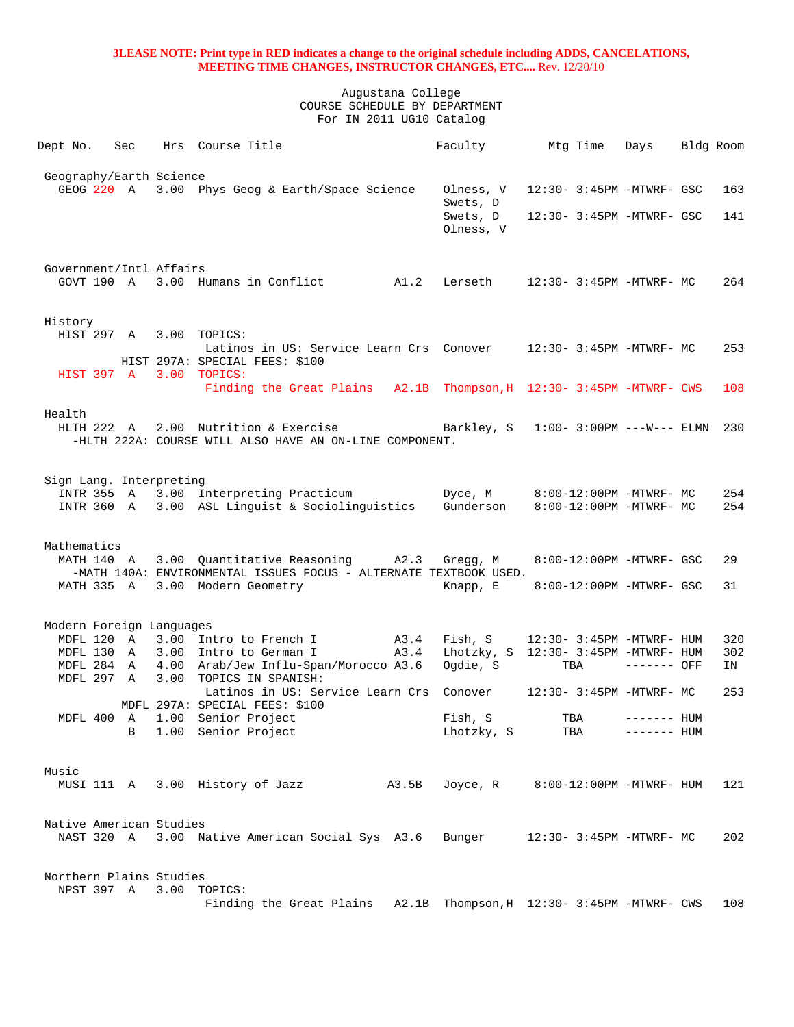|        | Dept No.       | Sec |                          | Hrs Course Title                                                                                                           | Faculty Mtg Time                     |     |     | Days                      | Bldg Room |
|--------|----------------|-----|--------------------------|----------------------------------------------------------------------------------------------------------------------------|--------------------------------------|-----|-----|---------------------------|-----------|
|        |                |     |                          |                                                                                                                            |                                      |     |     |                           |           |
|        |                |     | Geography/Earth Science  |                                                                                                                            |                                      |     |     |                           |           |
|        | GEOG 220 A     |     |                          | 3.00 Phys Geog & Earth/Space Science                                                                                       | Olness, V                            |     |     | 12:30- 3:45PM -MTWRF- GSC | 163       |
|        |                |     |                          |                                                                                                                            | Swets, D                             |     |     |                           |           |
|        |                |     |                          |                                                                                                                            | Swets, D                             |     |     | 12:30- 3:45PM -MTWRF- GSC | 141       |
|        |                |     |                          |                                                                                                                            | Olness, V                            |     |     |                           |           |
|        |                |     |                          |                                                                                                                            |                                      |     |     |                           |           |
|        |                |     |                          |                                                                                                                            |                                      |     |     |                           |           |
|        |                |     | Government/Intl Affairs  |                                                                                                                            |                                      |     |     |                           |           |
|        | $GOVT$ 190 $A$ |     |                          | 3.00 Humans in Conflict A1.2                                                                                               | Lerseth 12:30- 3:45PM -MTWRF- MC     |     |     |                           | 264       |
|        |                |     |                          |                                                                                                                            |                                      |     |     |                           |           |
|        |                |     |                          |                                                                                                                            |                                      |     |     |                           |           |
|        | History        |     |                          |                                                                                                                            |                                      |     |     |                           |           |
|        |                |     |                          | HIST 297 A 3.00 TOPICS:                                                                                                    |                                      |     |     |                           |           |
|        |                |     |                          | Latinos in US: Service Learn Crs Conover 12:30-3:45PM -MTWRF- MC                                                           |                                      |     |     |                           | 253       |
|        |                |     |                          | HIST 297A: SPECIAL FEES: \$100                                                                                             |                                      |     |     |                           |           |
|        |                |     |                          | HIST 397 A 3.00 TOPICS:                                                                                                    |                                      |     |     |                           |           |
|        |                |     |                          | Finding the Great Plains A2.1B Thompson, H 12:30- 3:45PM -MTWRF- CWS                                                       |                                      |     |     |                           | 108       |
| Health |                |     |                          |                                                                                                                            |                                      |     |     |                           |           |
|        |                |     |                          | HLTH 222 A 2.00 Nutrition & Exercise Barkley, S 1:00-3:00PM ---W--- ELMN                                                   |                                      |     |     |                           | 230       |
|        |                |     |                          | -HLTH 222A: COURSE WILL ALSO HAVE AN ON-LINE COMPONENT.                                                                    |                                      |     |     |                           |           |
|        |                |     |                          |                                                                                                                            |                                      |     |     |                           |           |
|        |                |     |                          |                                                                                                                            |                                      |     |     |                           |           |
|        |                |     | Sign Lang. Interpreting  |                                                                                                                            |                                      |     |     |                           |           |
|        | INTR 355 A     |     |                          | 3.00 Interpreting Practicum                                                                                                |                                      |     |     |                           | 254       |
|        |                |     |                          | INTR 360 A 3.00 ASL Linguist & Sociolinguistics Gunderson                                                                  |                                      |     |     | 8:00-12:00PM -MTWRF- MC   | 254       |
|        |                |     |                          |                                                                                                                            |                                      |     |     |                           |           |
|        |                |     |                          |                                                                                                                            |                                      |     |     |                           |           |
|        | Mathematics    |     |                          |                                                                                                                            |                                      |     |     |                           |           |
|        | MATH 140 A     |     |                          | 3.00 Quantitative Reasoning A2.3                                                                                           | Gregg, M                             |     |     | 8:00-12:00PM -MTWRF- GSC  | 29        |
|        |                |     |                          | -MATH 140A: ENVIRONMENTAL ISSUES FOCUS - ALTERNATE TEXTBOOK USED.                                                          |                                      |     |     |                           |           |
|        | MATH 335 A     |     |                          | 3.00 Modern Geometry                                                                                                       | Knapp, E                             |     |     | 8:00-12:00PM -MTWRF- GSC  | 31        |
|        |                |     |                          |                                                                                                                            |                                      |     |     |                           |           |
|        |                |     |                          |                                                                                                                            |                                      |     |     |                           |           |
|        |                |     | Modern Foreign Languages |                                                                                                                            |                                      |     |     |                           |           |
|        |                |     |                          | MDFL 120 A 3.00 Intro to French I A3.4<br>MDFL 120 A 3.00 Intro to French I A3.4<br>MNFL 130 A 3.00 Intro to German I A3.4 | Fish, S                              |     |     | 12:30- 3:45PM -MTWRF- HUM | 320       |
|        |                |     |                          |                                                                                                                            | Lhotzky, S 12:30- 3:45PM -MTWRF- HUM |     |     |                           | 302       |
|        |                |     |                          | MDFL 284 A 4.00 Arab/Jew Influ-Span/Morocco A3.6                                                                           | Ogdie, S                             |     | TBA | $------$ OFF              | IN        |
|        | MDFL 297 A     |     |                          | 3.00 TOPICS IN SPANISH:                                                                                                    |                                      |     |     |                           |           |
|        |                |     |                          | Latinos in US: Service Learn Crs Conover                                                                                   |                                      |     |     | 12:30- 3:45PM -MTWRF- MC  | 253       |
|        |                |     |                          | MDFL 297A: SPECIAL FEES: \$100                                                                                             |                                      |     |     |                           |           |
|        | MDFL 400 A     |     |                          | 1.00 Senior Project                                                                                                        | Fish, S                              | TBA |     | $------$ HUM              |           |
|        |                | В   |                          | 1.00 Senior Project                                                                                                        | Lhotzky, S                           |     | TBA | $------$ HUM              |           |
|        |                |     |                          |                                                                                                                            |                                      |     |     |                           |           |
|        |                |     |                          |                                                                                                                            |                                      |     |     |                           |           |
| Music  |                |     |                          |                                                                                                                            |                                      |     |     |                           |           |
|        | MUSI 111 A     |     |                          | 3.00 History of Jazz<br>A3.5B                                                                                              | Joyce, R                             |     |     | 8:00-12:00PM -MTWRF- HUM  | 121       |
|        |                |     |                          |                                                                                                                            |                                      |     |     |                           |           |
|        |                |     |                          |                                                                                                                            |                                      |     |     |                           |           |
|        |                |     | Native American Studies  |                                                                                                                            |                                      |     |     |                           |           |
|        | NAST 320 A     |     |                          | 3.00 Native American Social Sys A3.6                                                                                       | Bunger                               |     |     | 12:30- 3:45PM -MTWRF- MC  | 202       |
|        |                |     |                          |                                                                                                                            |                                      |     |     |                           |           |
|        |                |     |                          |                                                                                                                            |                                      |     |     |                           |           |
|        |                |     | Northern Plains Studies  | 3.00 TOPICS:                                                                                                               |                                      |     |     |                           |           |
|        | NPST 397 A     |     |                          |                                                                                                                            |                                      |     |     |                           |           |
|        |                |     |                          | Finding the Great Plains A2.1B Thompson, H 12:30- 3:45PM -MTWRF- CWS                                                       |                                      |     |     |                           | 108       |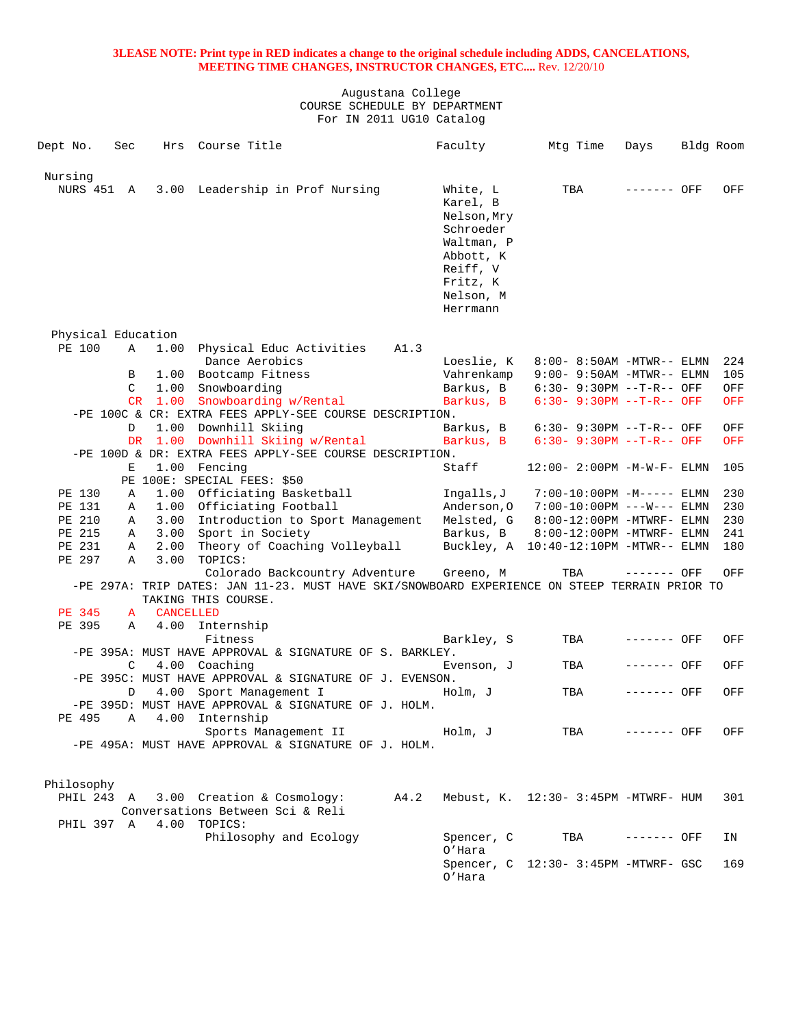| Dept No.              | Sec    | Hrs              | Course Title                                                                                                         |      | Faculty                 | Mtg Time                               | Days        | Bldg Room  |
|-----------------------|--------|------------------|----------------------------------------------------------------------------------------------------------------------|------|-------------------------|----------------------------------------|-------------|------------|
| Nursing<br>NURS 451 A |        |                  | 3.00 Leadership in Prof Nursing                                                                                      |      | White, L                | TBA                                    | ------- OFF | OFF        |
|                       |        |                  |                                                                                                                      |      | Karel, B<br>Nelson, Mry |                                        |             |            |
|                       |        |                  |                                                                                                                      |      | Schroeder<br>Waltman, P |                                        |             |            |
|                       |        |                  |                                                                                                                      |      | Abbott, K<br>Reiff, V   |                                        |             |            |
|                       |        |                  |                                                                                                                      |      | Fritz, K                |                                        |             |            |
|                       |        |                  |                                                                                                                      |      | Nelson, M<br>Herrmann   |                                        |             |            |
| Physical Education    |        |                  |                                                                                                                      |      |                         |                                        |             |            |
| PE 100                | Α      | 1.00             | Physical Educ Activities<br>Dance Aerobics                                                                           | A1.3 | Loeslie, K              | 8:00- 8:50AM -MTWR-- ELMN              |             | 224        |
|                       | B      |                  | 1.00 Bootcamp Fitness                                                                                                |      | Vahrenkamp              | $9:00 - 9:50AM - MTWR-- ELMN$          |             | 105        |
|                       | C      |                  | 1.00 Snowboarding                                                                                                    |      | Barkus, B               | $6:30 - 9:30PM -T-R--OFF$              |             | OFF        |
|                       |        |                  | CR 1.00 Snowboarding w/Rental                                                                                        |      | Barkus, B               | $6:30 - 9:30PM -T-R--OFF$              |             | <b>OFF</b> |
|                       |        |                  | -PE 100C & CR: EXTRA FEES APPLY-SEE COURSE DESCRIPTION.                                                              |      |                         |                                        |             |            |
|                       | D      | 1.00             | Downhill Skiing                                                                                                      |      | Barkus, B               | $6:30 - 9:30PM -T-R--OFF$              |             | OFF        |
|                       |        |                  | DR 1.00 Downhill Skiing w/Rental<br>-PE 100D & DR: EXTRA FEES APPLY-SEE COURSE DESCRIPTION.                          |      | Barkus, B               | $6:30 - 9:30PM -T-R--OFF$              |             | <b>OFF</b> |
|                       | Ε      |                  | 1.00 Fencing                                                                                                         |      | Staff                   | $12:00 - 2:00PM -M-W-F- ELMN$          |             | 105        |
|                       |        |                  | PE 100E: SPECIAL FEES: \$50                                                                                          |      |                         |                                        |             |            |
| PE 130                | Α      |                  | 1.00 Officiating Basketball                                                                                          |      | Ingalls,J               | 7:00-10:00PM -M----- ELMN              |             | 230        |
| PE 131                | Α      |                  | 1.00 Officiating Football                                                                                            |      | Anderson, O             | $7:00-10:00PM$ ---W--- ELMN            |             | 230        |
| PE 210                | A      |                  | 3.00 Introduction to Sport Management                                                                                |      | Melsted, G              | $8:00-12:00PM$ -MTWRF- ELMN            |             | 230        |
| PE 215                | Α      | 3.00             | Sport in Society                                                                                                     |      | Barkus, B               | 8:00-12:00PM -MTWRF- ELMN              |             | 241        |
| PE 231<br>PE 297      | Α<br>Α | 3.00             | 2.00 Theory of Coaching Volleyball<br>TOPICS:                                                                        |      |                         | Buckley, A 10:40-12:10PM -MTWR-- ELMN  |             | 180        |
|                       |        |                  | Colorado Backcountry Adventure                                                                                       |      | Greeno, M               | TBA                                    | ------- OFF | OFF        |
|                       |        |                  | -PE 297A: TRIP DATES: JAN 11-23. MUST HAVE SKI/SNOWBOARD EXPERIENCE ON STEEP TERRAIN PRIOR TO<br>TAKING THIS COURSE. |      |                         |                                        |             |            |
| PE 345                | A      | <b>CANCELLED</b> |                                                                                                                      |      |                         |                                        |             |            |
| PE 395                | Α      | 4.00             | Internship                                                                                                           |      |                         |                                        |             |            |
|                       |        |                  | Fitness                                                                                                              |      | Barkley, S              | TBA                                    | ------- OFF | OFF        |
|                       |        |                  | -PE 395A: MUST HAVE APPROVAL & SIGNATURE OF S. BARKLEY.                                                              |      |                         |                                        |             |            |
|                       | C      |                  | 4.00 Coaching                                                                                                        |      | Evenson, J              | TBA                                    | ------- OFF | OFF        |
|                       |        |                  | -PE 395C: MUST HAVE APPROVAL & SIGNATURE OF J. EVENSON.                                                              |      |                         |                                        |             |            |
|                       | D      | 4.00             | Sport Management I<br>-PE 395D: MUST HAVE APPROVAL & SIGNATURE OF J. HOLM.                                           |      | Holm, J                 | TBA                                    | ------- OFF | OFF        |
| PE 495                | Α      | 4.00             | Internship                                                                                                           |      |                         |                                        |             |            |
|                       |        |                  | Sports Management II                                                                                                 |      | Holm, J                 | TBA                                    | ------- OFF | OFF        |
|                       |        |                  | -PE 495A: MUST HAVE APPROVAL & SIGNATURE OF J. HOLM.                                                                 |      |                         |                                        |             |            |
| Philosophy            |        |                  |                                                                                                                      |      |                         |                                        |             |            |
| PHIL 243 A            |        |                  | 3.00 Creation & Cosmology:                                                                                           | A4.2 |                         | Mebust, $K. 12:30-3:45PM -MTWRF - HUM$ |             | 301        |
|                       |        |                  | Conversations Between Sci & Reli                                                                                     |      |                         |                                        |             |            |
| PHIL 397 A            |        | 4.00             | TOPICS:                                                                                                              |      |                         |                                        |             |            |
|                       |        |                  | Philosophy and Ecology                                                                                               |      | Spencer, C<br>O'Hara    | TBA                                    | ------- OFF | ΙN         |
|                       |        |                  |                                                                                                                      |      |                         | Spencer, C 12:30- 3:45PM -MTWRF- GSC   |             | 169        |
|                       |        |                  |                                                                                                                      |      | O'Hara                  |                                        |             |            |